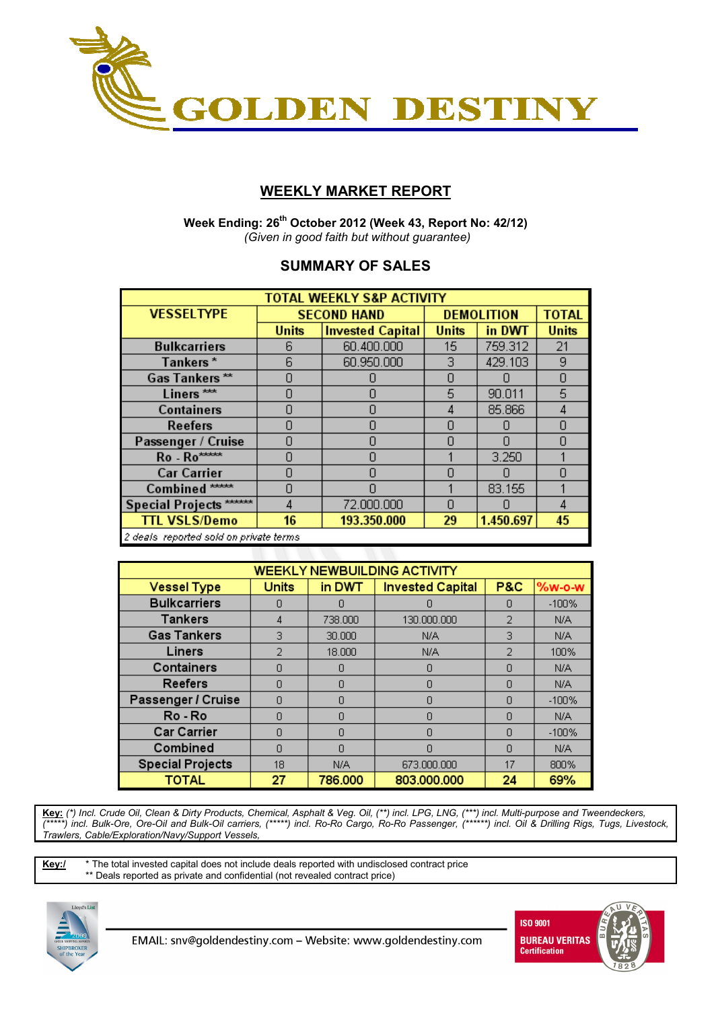

## **WEEKLY MARKET REPORT**

 **Week Ending: 26th October 2012 (Week 43, Report No: 42/12)**   *(Given in good faith but without guarantee)* 

## **SUMMARY OF SALES**

| <b>TOTAL WEEKLY S&amp;P ACTIVITY</b> |                                                             |                         |                   |         |              |  |  |  |  |  |
|--------------------------------------|-------------------------------------------------------------|-------------------------|-------------------|---------|--------------|--|--|--|--|--|
| <b>VESSELTYPE</b>                    |                                                             | <b>SECOND HAND</b>      | <b>DEMOLITION</b> |         | <b>TOTAL</b> |  |  |  |  |  |
|                                      | <b>Units</b>                                                | <b>Invested Capital</b> | <b>Units</b>      | in DWT  | <b>Units</b> |  |  |  |  |  |
| <b>Bulkcarriers</b>                  | 6                                                           | 60.400.000              | 15                | 759.312 | 21           |  |  |  |  |  |
| Tankers*                             | 6                                                           | 60.950.000              | 3                 | 429.103 | 9            |  |  |  |  |  |
| Gas Tankers**                        | Π                                                           |                         | Π                 |         | Ω            |  |  |  |  |  |
| Liners <sup>***</sup>                | n                                                           | Π                       | 5                 | 90.011  | 5            |  |  |  |  |  |
| <b>Containers</b>                    | Ω                                                           | Π                       | 4                 | 85.866  | 4            |  |  |  |  |  |
| <b>Reefers</b>                       | Ω                                                           | Ω                       | 0                 |         | 0            |  |  |  |  |  |
| Passenger / Cruise                   | n                                                           | Π                       | Ω                 |         | Ω            |  |  |  |  |  |
| Ro - Ro*****                         | Π                                                           | Π                       |                   | 3.250   |              |  |  |  |  |  |
| <b>Car Carrier</b>                   | n                                                           | N                       | Ω                 |         | Π            |  |  |  |  |  |
| Combined *****                       | Ω                                                           | N                       |                   | 83.155  |              |  |  |  |  |  |
| Special Projects ******              |                                                             | 72.000.000              | Ω                 |         | 4            |  |  |  |  |  |
| <b>TTL VSLS/Demo</b>                 | 29                                                          | 1.450.697               | 45                |         |              |  |  |  |  |  |
|                                      | 193.350.000<br>16<br>2 deals reported sold on private terms |                         |                   |         |              |  |  |  |  |  |

| <b>WEEKLY NEWBUILDING ACTIVITY</b> |              |         |                         |                |          |  |  |  |  |  |
|------------------------------------|--------------|---------|-------------------------|----------------|----------|--|--|--|--|--|
| <b>Vessel Type</b>                 | <b>Units</b> | in DWT  | <b>Invested Capital</b> | <b>P&amp;C</b> | $%w-o-W$ |  |  |  |  |  |
| <b>Bulkcarriers</b>                | n            | n       | n                       | n              | $-100%$  |  |  |  |  |  |
| <b>Tankers</b>                     | 4            | 738,000 | 130,000,000             | 2              | N/A      |  |  |  |  |  |
| <b>Gas Tankers</b>                 | 3            | 30,000  | N/A                     | З              | N/A      |  |  |  |  |  |
| Liners                             | 2            | 18.000  | N/A                     | 2              | 100%     |  |  |  |  |  |
| Containers                         | n            | n       | Ο                       | n              | N/A      |  |  |  |  |  |
| <b>Reefers</b>                     | $\cap$       | Π       | n                       |                | N/A      |  |  |  |  |  |
| Passenger / Cruise                 | Ω            | Π       | Π                       | Ω              | $-100%$  |  |  |  |  |  |
| Ro - Ro                            | n            | Ω       | Ω                       | n              | N/A      |  |  |  |  |  |
| <b>Car Carrier</b>                 | n            | n       | N                       | n              | $-100%$  |  |  |  |  |  |
| Combined                           | n            | Π       | n                       | Π              | N/A      |  |  |  |  |  |
| <b>Special Projects</b>            | 18           | N/A     | 673,000,000             | 17             | 800%     |  |  |  |  |  |
| TOTAL                              | 27           | 786,000 | 803.000.000             | 24             | 69%      |  |  |  |  |  |

**Key:** *(\*) Incl. Crude Oil, Clean & Dirty Products, Chemical, Asphalt & Veg. Oil, (\*\*) incl. LPG, LNG, (\*\*\*) incl. Multi-purpose and Tweendeckers, (\*\*\*\*\*) incl. Bulk-Ore, Ore-Oil and Bulk-Oil carriers, (\*\*\*\*\*) incl. Ro-Ro Cargo, Ro-Ro Passenger, (\*\*\*\*\*\*) incl. Oil & Drilling Rigs, Tugs, Livestock, Trawlers, Cable/Exploration/Navy/Support Vessels,* 

**Key:/** \* The total invested capital does not include deals reported with undisclosed contract price \*\* Deals reported as private and confidential (not revealed contract price)





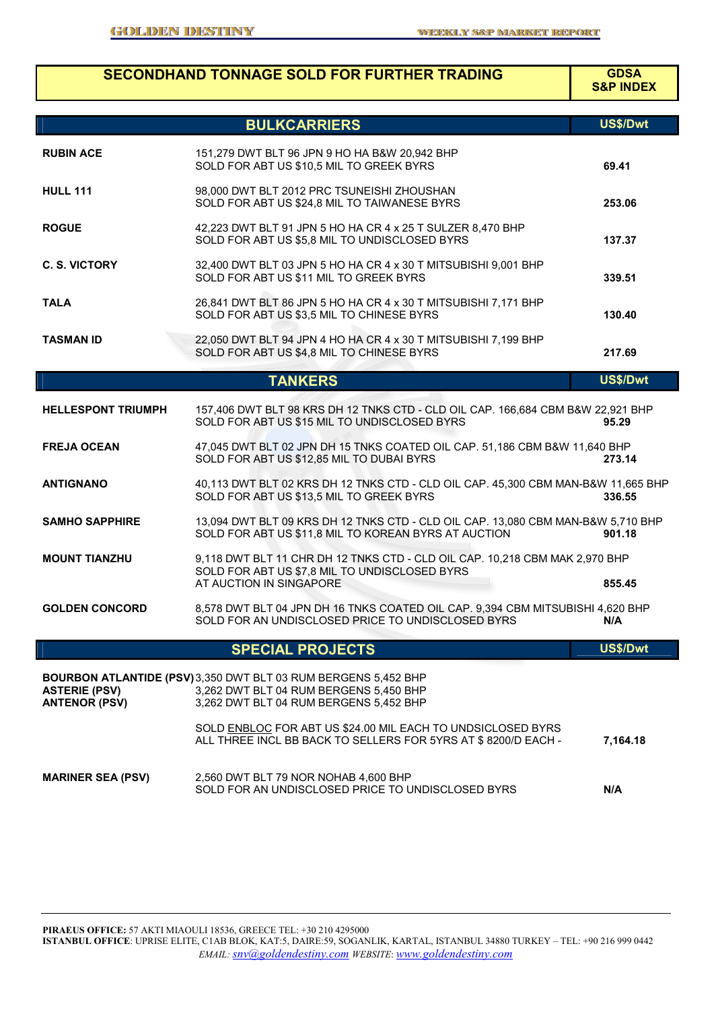|                                              | <b>SECONDHAND TONNAGE SOLD FOR FURTHER TRADING</b>                                                                                                      | <b>GDSA</b><br><b>S&amp;P INDEX</b> |
|----------------------------------------------|---------------------------------------------------------------------------------------------------------------------------------------------------------|-------------------------------------|
|                                              | <b>BULKCARRIERS</b>                                                                                                                                     | US\$/Dwt                            |
| <b>RUBIN ACE</b>                             | 151,279 DWT BLT 96 JPN 9 HO HA B&W 20,942 BHP<br>SOLD FOR ABT US \$10,5 MIL TO GREEK BYRS                                                               | 69.41                               |
| <b>HULL 111</b>                              | 98,000 DWT BLT 2012 PRC TSUNEISHI ZHOUSHAN<br>SOLD FOR ABT US \$24,8 MIL TO TAIWANESE BYRS                                                              | 253.06                              |
| <b>ROGUE</b>                                 | 42,223 DWT BLT 91 JPN 5 HO HA CR 4 x 25 T SULZER 8,470 BHP<br>SOLD FOR ABT US \$5,8 MIL TO UNDISCLOSED BYRS                                             | 137.37                              |
| <b>C. S. VICTORY</b>                         | 32,400 DWT BLT 03 JPN 5 HO HA CR 4 x 30 T MITSUBISHI 9,001 BHP<br>SOLD FOR ABT US \$11 MIL TO GREEK BYRS                                                | 339.51                              |
| <b>TALA</b>                                  | 26,841 DWT BLT 86 JPN 5 HO HA CR 4 x 30 T MITSUBISHI 7,171 BHP<br>SOLD FOR ABT US \$3,5 MIL TO CHINESE BYRS                                             | 130.40                              |
| <b>TASMAN ID</b>                             | 22,050 DWT BLT 94 JPN 4 HO HA CR 4 x 30 T MITSUBISHI 7,199 BHP<br>SOLD FOR ABT US \$4,8 MIL TO CHINESE BYRS                                             | 217.69                              |
|                                              | <b>TANKERS</b>                                                                                                                                          | US\$/Dwt                            |
| <b>HELLESPONT TRIUMPH</b>                    | 157,406 DWT BLT 98 KRS DH 12 TNKS CTD - CLD OIL CAP. 166,684 CBM B&W 22,921 BHP<br>SOLD FOR ABT US \$15 MIL TO UNDISCLOSED BYRS                         | 95.29                               |
| <b>FREJA OCEAN</b>                           | 47,045 DWT BLT 02 JPN DH 15 TNKS COATED OIL CAP. 51,186 CBM B&W 11,640 BHP<br>SOLD FOR ABT US \$12,85 MIL TO DUBAI BYRS                                 | 273.14                              |
| <b>ANTIGNANO</b>                             | 40,113 DWT BLT 02 KRS DH 12 TNKS CTD - CLD OIL CAP. 45,300 CBM MAN-B&W 11,665 BHP<br>SOLD FOR ABT US \$13,5 MIL TO GREEK BYRS                           | 336.55                              |
| <b>SAMHO SAPPHIRE</b>                        | 13,094 DWT BLT 09 KRS DH 12 TNKS CTD - CLD OIL CAP. 13,080 CBM MAN-B&W 5,710 BHP<br>SOLD FOR ABT US \$11,8 MIL TO KOREAN BYRS AT AUCTION                | 901.18                              |
| <b>MOUNT TIANZHU</b>                         | 9,118 DWT BLT 11 CHR DH 12 TNKS CTD - CLD OIL CAP. 10,218 CBM MAK 2,970 BHP<br>SOLD FOR ABT US \$7,8 MIL TO UNDISCLOSED BYRS<br>AT AUCTION IN SINGAPORE | 855.45                              |
| <b>GOLDEN CONCORD</b>                        | 8,578 DWT BLT 04 JPN DH 16 TNKS COATED OIL CAP. 9,394 CBM MITSUBISHI 4,620 BHP<br>SOLD FOR AN UNDISCLOSED PRICE TO UNDISCLOSED BYRS                     | N/A                                 |
|                                              | <b>SPECIAL PROJECTS</b>                                                                                                                                 | US\$/Dwt                            |
| <b>ASTERIE (PSV)</b><br><b>ANTENOR (PSV)</b> | BOURBON ATLANTIDE (PSV) 3,350 DWT BLT 03 RUM BERGENS 5,452 BHP<br>3,262 DWT BLT 04 RUM BERGENS 5,450 BHP<br>3,262 DWT BLT 04 RUM BERGENS 5,452 BHP      |                                     |
|                                              | SOLD ENBLOC FOR ABT US \$24.00 MIL EACH TO UNDSICLOSED BYRS<br>ALL THREE INCL BB BACK TO SELLERS FOR 5YRS AT \$8200/D EACH -                            | 7,164.18                            |
| <b>MARINER SEA (PSV)</b>                     | 2,560 DWT BLT 79 NOR NOHAB 4,600 BHP<br>SOLD FOR AN UNDISCLOSED PRICE TO UNDISCLOSED BYRS                                                               | N/A                                 |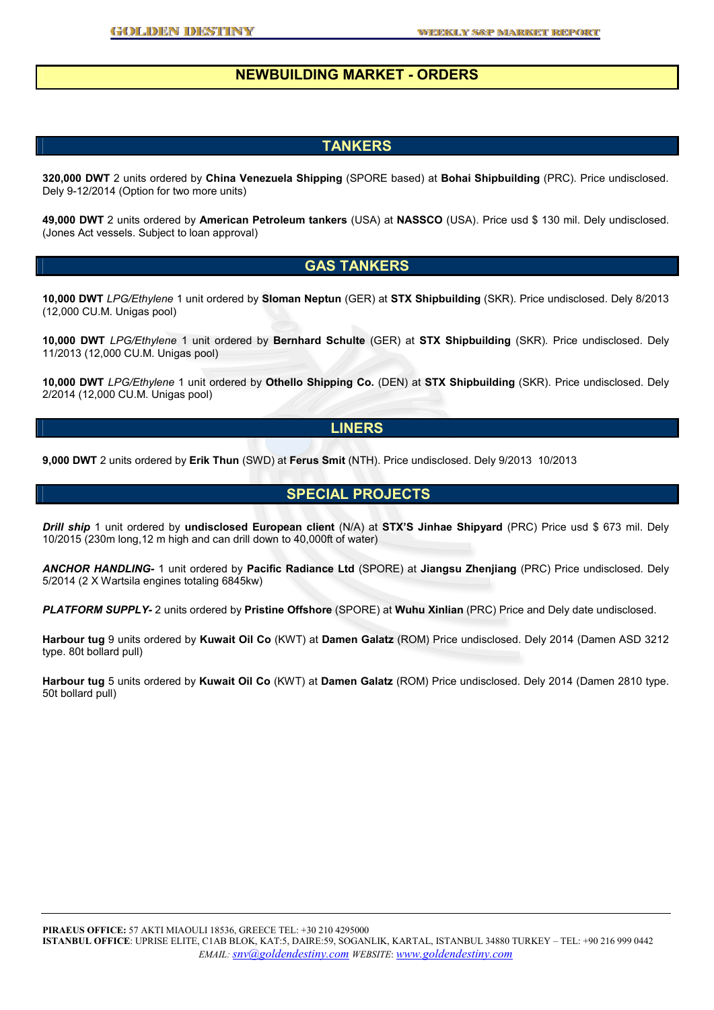### **NEWBUILDING MARKET - ORDERS**

#### **TANKERS**

**320,000 DWT** 2 units ordered by **China Venezuela Shipping** (SPORE based) at **Bohai Shipbuilding** (PRC). Price undisclosed. Dely 9-12/2014 (Option for two more units)

**49,000 DWT** 2 units ordered by **American Petroleum tankers** (USA) at **NASSCO** (USA). Price usd \$ 130 mil. Dely undisclosed. (Jones Act vessels. Subject to loan approval)

#### **GAS TANKERS**

**10,000 DWT** *LPG/Ethylene* 1 unit ordered by **Sloman Neptun** (GER) at **STX Shipbuilding** (SKR). Price undisclosed. Dely 8/2013 (12,000 CU.M. Unigas pool)

**10,000 DWT** *LPG/Ethylene* 1 unit ordered by **Bernhard Schulte** (GER) at **STX Shipbuilding** (SKR). Price undisclosed. Dely 11/2013 (12,000 CU.M. Unigas pool)

**10,000 DWT** *LPG/Ethylene* 1 unit ordered by **Othello Shipping Co.** (DEN) at **STX Shipbuilding** (SKR). Price undisclosed. Dely 2/2014 (12,000 CU.M. Unigas pool)

#### **LINERS**

**9,000 DWT** 2 units ordered by **Erik Thun** (SWD) at **Ferus Smit** (NTH). Price undisclosed. Dely 9/2013 10/2013

#### **SPECIAL PROJECTS**

*Drill ship* 1 unit ordered by **undisclosed European client** (N/A) at **STX'S Jinhae Shipyard** (PRC) Price usd \$ 673 mil. Dely 10/2015 (230m long,12 m high and can drill down to 40,000ft of water)

*ANCHOR HANDLING-* 1 unit ordered by **Pacific Radiance Ltd** (SPORE) at **Jiangsu Zhenjiang** (PRC) Price undisclosed. Dely 5/2014 (2 X Wartsila engines totaling 6845kw)

*PLATFORM SUPPLY-* 2 units ordered by **Pristine Offshore** (SPORE) at **Wuhu Xinlian** (PRC) Price and Dely date undisclosed.

**Harbour tug** 9 units ordered by **Kuwait Oil Co** (KWT) at **Damen Galatz** (ROM) Price undisclosed. Dely 2014 (Damen ASD 3212 type. 80t bollard pull)

**Harbour tug** 5 units ordered by **Kuwait Oil Co** (KWT) at **Damen Galatz** (ROM) Price undisclosed. Dely 2014 (Damen 2810 type. 50t bollard pull)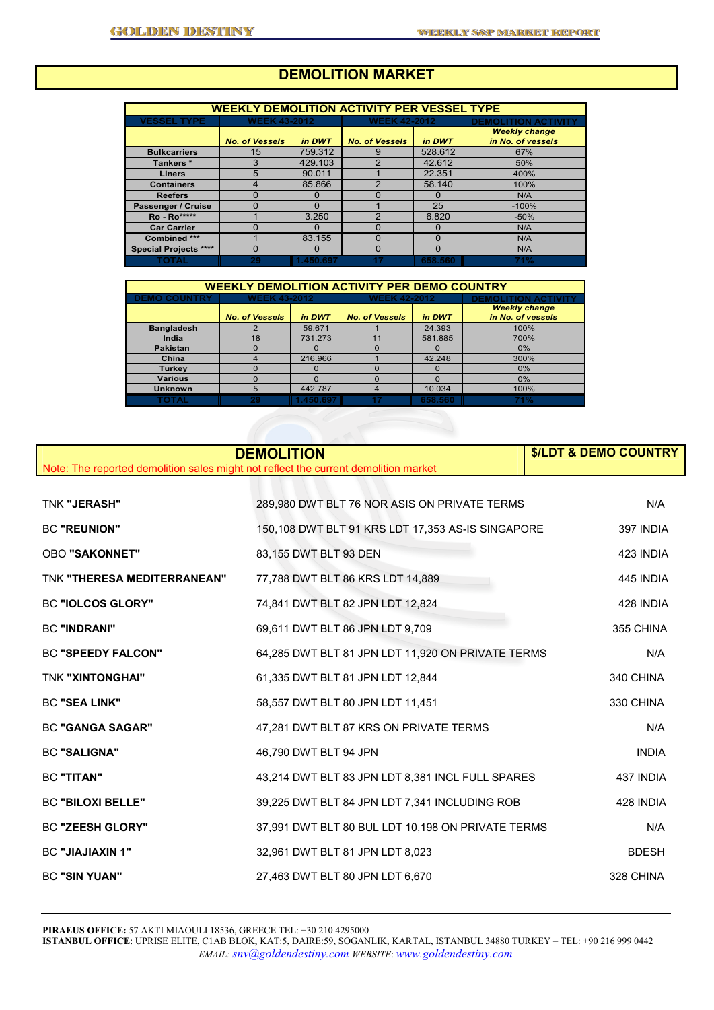# **DEMOLITION MARKET**

| <b>WEEKLY DEMOLITION ACTIVITY PER VESSEL TYPE</b> |                       |          |                       |          |                            |  |  |  |  |
|---------------------------------------------------|-----------------------|----------|-----------------------|----------|----------------------------|--|--|--|--|
| <b>VESSEL TYPE</b>                                | <b>WEEK 43-2012</b>   |          | <b>WEEK 42-2012</b>   |          | <b>DEMOLITION ACTIVITY</b> |  |  |  |  |
|                                                   |                       |          |                       |          | <b>Weekly change</b>       |  |  |  |  |
|                                                   | <b>No. of Vessels</b> | in DWT   | <b>No. of Vessels</b> | in DWT   | in No. of vessels          |  |  |  |  |
| <b>Bulkcarriers</b>                               | 15                    | 759.312  | 9                     | 528.612  | 67%                        |  |  |  |  |
| Tankers*                                          | 3                     | 429.103  | 2                     | 42.612   | 50%                        |  |  |  |  |
| <b>Liners</b>                                     | 5                     | 90.011   |                       | 22.351   | 400%                       |  |  |  |  |
| <b>Containers</b>                                 |                       | 85.866   | ີ                     | 58.140   | 100%                       |  |  |  |  |
| <b>Reefers</b>                                    | 0                     | O        |                       | $\Omega$ | N/A                        |  |  |  |  |
| Passenger / Cruise                                | 0                     | ი        |                       | 25       | $-100%$                    |  |  |  |  |
| <b>Ro</b> - Ro*****                               |                       | 3.250    | C                     | 6.820    | $-50%$                     |  |  |  |  |
| <b>Car Carrier</b>                                | 0                     | O        | O                     | $\Omega$ | N/A                        |  |  |  |  |
| Combined ***                                      |                       | 83.155   | O                     | $\Omega$ | N/A                        |  |  |  |  |
| <b>Special Projects ****</b>                      | O                     | O        | O                     | $\Omega$ | N/A                        |  |  |  |  |
| <b>FOTAL</b>                                      | 29                    | 1.450.69 |                       | 658,560  | 71%                        |  |  |  |  |

| <b>WEEKLY DEMOLITION ACTIVITY PER DEMO COUNTRY</b> |                       |          |                       |         |                            |  |  |  |  |
|----------------------------------------------------|-----------------------|----------|-----------------------|---------|----------------------------|--|--|--|--|
| <b>DEMO COUNTRY</b>                                | <b>WEEK 43-2012</b>   |          | <b>WEEK 42-2012</b>   |         | <b>DEMOLITION ACTIVITY</b> |  |  |  |  |
|                                                    |                       |          |                       |         | <b>Weekly change</b>       |  |  |  |  |
|                                                    | <b>No. of Vessels</b> | in DWT   | <b>No. of Vessels</b> | in DWT  | in No. of vessels          |  |  |  |  |
| <b>Bangladesh</b>                                  |                       | 59.671   |                       | 24.393  | 100%                       |  |  |  |  |
| India                                              | 18                    | 731.273  |                       | 581.885 | 700%                       |  |  |  |  |
| <b>Pakistan</b>                                    |                       |          | O                     |         | 0%                         |  |  |  |  |
| China                                              |                       | 216,966  |                       | 42.248  | 300%                       |  |  |  |  |
| <b>Turkey</b>                                      |                       |          |                       |         | 0%                         |  |  |  |  |
| <b>Various</b>                                     |                       |          | O                     |         | 0%                         |  |  |  |  |
| <b>Unknown</b>                                     | 5                     | 442.787  |                       | 10.034  | 100%                       |  |  |  |  |
| TOTAL                                              | 29                    | 1.450.69 |                       | 658,560 | 71%                        |  |  |  |  |

| <b>DEMOLITION</b><br>Note: The reported demolition sales might not reflect the current demolition market | <b><i>S/LDT &amp; DEMO COUNTRY</i></b>            |              |
|----------------------------------------------------------------------------------------------------------|---------------------------------------------------|--------------|
|                                                                                                          |                                                   |              |
| <b>TNK "JERASH"</b>                                                                                      | 289,980 DWT BLT 76 NOR ASIS ON PRIVATE TERMS      | N/A          |
| <b>BC "REUNION"</b>                                                                                      | 150,108 DWT BLT 91 KRS LDT 17,353 AS-IS SINGAPORE | 397 INDIA    |
| <b>OBO "SAKONNET"</b>                                                                                    | 83,155 DWT BLT 93 DEN                             | 423 INDIA    |
| TNK "THERESA MEDITERRANEAN"                                                                              | 77,788 DWT BLT 86 KRS LDT 14,889                  | 445 INDIA    |
| <b>BC "IOLCOS GLORY"</b>                                                                                 | 74,841 DWT BLT 82 JPN LDT 12,824                  | 428 INDIA    |
| <b>BC "INDRANI"</b>                                                                                      | 69,611 DWT BLT 86 JPN LDT 9,709                   | 355 CHINA    |
| <b>BC "SPEEDY FALCON"</b>                                                                                | 64,285 DWT BLT 81 JPN LDT 11,920 ON PRIVATE TERMS | N/A          |
| <b>TNK "XINTONGHAI"</b>                                                                                  | 61,335 DWT BLT 81 JPN LDT 12,844                  | 340 CHINA    |
| <b>BC "SEA LINK"</b>                                                                                     | 58,557 DWT BLT 80 JPN LDT 11,451                  | 330 CHINA    |
| <b>BC "GANGA SAGAR"</b>                                                                                  | 47,281 DWT BLT 87 KRS ON PRIVATE TERMS            | N/A          |
| <b>BC "SALIGNA"</b>                                                                                      | 46,790 DWT BLT 94 JPN                             | <b>INDIA</b> |
| <b>BC "TITAN"</b>                                                                                        | 43,214 DWT BLT 83 JPN LDT 8,381 INCL FULL SPARES  | 437 INDIA    |
| <b>BC "BILOXI BELLE"</b>                                                                                 | 39,225 DWT BLT 84 JPN LDT 7,341 INCLUDING ROB     | 428 INDIA    |
| <b>BC "ZEESH GLORY"</b>                                                                                  | 37,991 DWT BLT 80 BUL LDT 10,198 ON PRIVATE TERMS | N/A          |
| <b>BC "JIAJIAXIN 1"</b>                                                                                  | 32,961 DWT BLT 81 JPN LDT 8,023                   | <b>BDESH</b> |
| <b>BC "SIN YUAN"</b>                                                                                     | 27,463 DWT BLT 80 JPN LDT 6,670                   | 328 CHINA    |

**PIRAEUS OFFICE:** 57 AKTI MIAOULI 18536, GREECE TEL: +30 210 4295000 **ISTANBUL OFFICE**: UPRISE ELITE, C1AB BLOK, KAT:5, DAIRE:59, SOGANLIK, KARTAL, ISTANBUL 34880 TURKEY – TEL: +90 216 999 0442 *EMAIL: snv@goldendestiny.com WEBSITE*: *www.goldendestiny.com*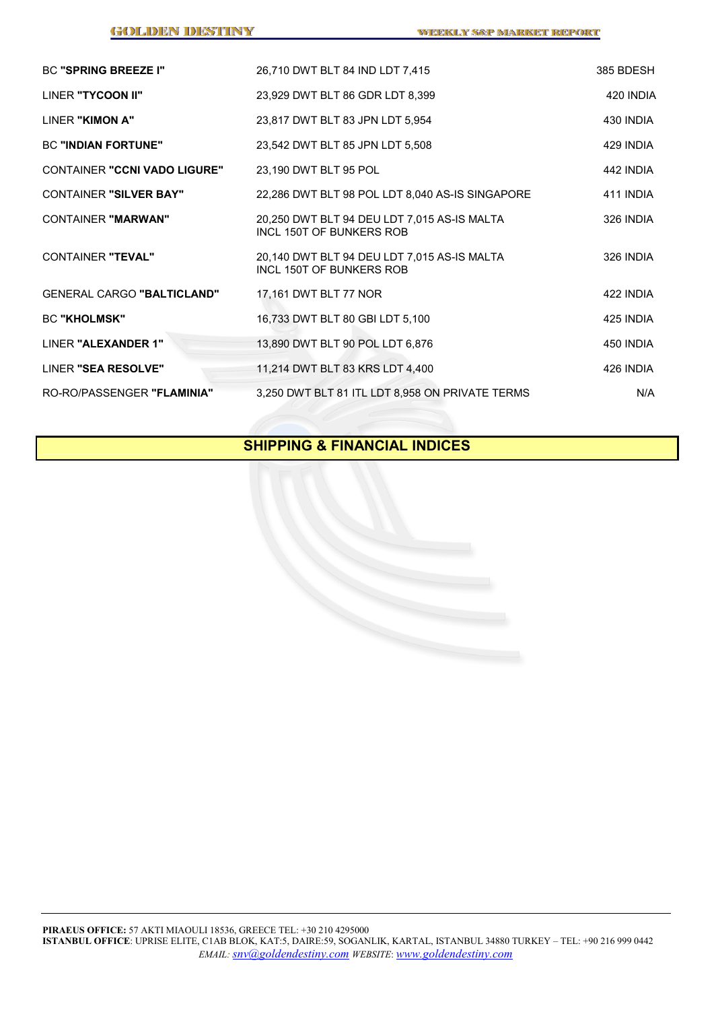| <b>BC "SPRING BREEZE I"</b>         | 26,710 DWT BLT 84 IND LDT 7,415                                         | 385 BDESH |
|-------------------------------------|-------------------------------------------------------------------------|-----------|
| LINER "TYCOON II"                   | 23,929 DWT BLT 86 GDR LDT 8,399                                         | 420 INDIA |
| LINER "KIMON A"                     | 23,817 DWT BLT 83 JPN LDT 5,954                                         | 430 INDIA |
| <b>BC "INDIAN FORTUNE"</b>          | 23,542 DWT BLT 85 JPN LDT 5,508                                         | 429 INDIA |
| <b>CONTAINER "CCNI VADO LIGURE"</b> | 23,190 DWT BLT 95 POL                                                   | 442 INDIA |
| <b>CONTAINER "SILVER BAY"</b>       | 22,286 DWT BLT 98 POL LDT 8,040 AS-IS SINGAPORE                         | 411 INDIA |
| <b>CONTAINER "MARWAN"</b>           | 20,250 DWT BLT 94 DEU LDT 7,015 AS-IS MALTA<br>INCL 150T OF BUNKERS ROB | 326 INDIA |
| <b>CONTAINER "TEVAL"</b>            | 20,140 DWT BLT 94 DEU LDT 7,015 AS-IS MALTA<br>INCL 150T OF BUNKERS ROB | 326 INDIA |
| <b>GENERAL CARGO "BALTICLAND"</b>   | 17,161 DWT BLT 77 NOR                                                   | 422 INDIA |
| <b>BC "KHOLMSK"</b>                 | 16,733 DWT BLT 80 GBI LDT 5,100                                         | 425 INDIA |
| LINER "ALEXANDER 1"                 | 13,890 DWT BLT 90 POL LDT 6,876                                         | 450 INDIA |
| LINER "SEA RESOLVE"                 | 11,214 DWT BLT 83 KRS LDT 4,400                                         | 426 INDIA |
| RO-RO/PASSENGER "FLAMINIA"          | 3,250 DWT BLT 81 ITL LDT 8,958 ON PRIVATE TERMS                         | N/A       |

# **SHIPPING & FINANCIAL INDICES**